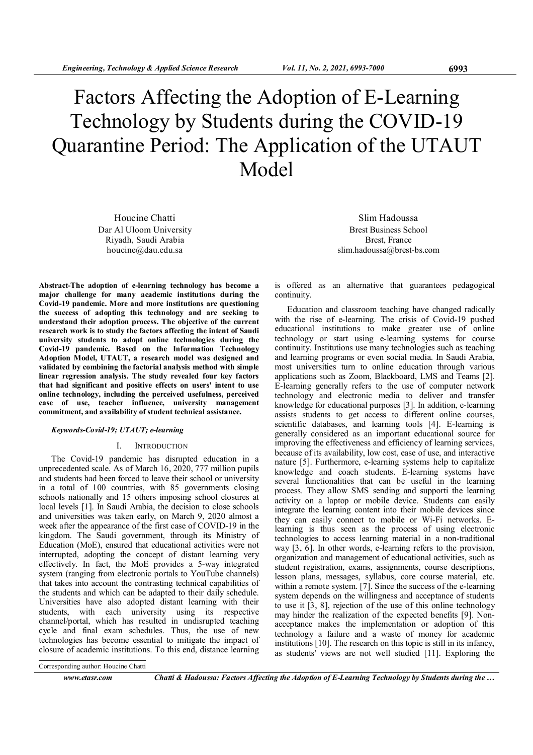# Factors Affecting the Adoption of E-Learning Technology by Students during the COVID-19 Quarantine Period: The Application of the UTAUT Model

Houcine Chatti Dar Al Uloom University Riyadh, Saudi Arabia houcine@dau.edu.sa

Abstract-The adoption of e-learning technology has become a major challenge for many academic institutions during the Covid-19 pandemic. More and more institutions are questioning the success of adopting this technology and are seeking to understand their adoption process. The objective of the current research work is to study the factors affecting the intent of Saudi university students to adopt online technologies during the Covid-19 pandemic. Based on the Information Technology Adoption Model, UTAUT, a research model was designed and validated by combining the factorial analysis method with simple linear regression analysis. The study revealed four key factors that had significant and positive effects on users' intent to use online technology, including the perceived usefulness, perceived ease of use, teacher influence, university management commitment, and availability of student technical assistance.

### Keywords-Covid-19; UTAUT; e-learning

### I. INTRODUCTION

The Covid-19 pandemic has disrupted education in a unprecedented scale. As of March 16, 2020, 777 million pupils and students had been forced to leave their school or university in a total of 100 countries, with 85 governments closing schools nationally and 15 others imposing school closures at local levels [1]. In Saudi Arabia, the decision to close schools and universities was taken early, on March 9, 2020 almost a week after the appearance of the first case of COVID-19 in the kingdom. The Saudi government, through its Ministry of Education (MoE), ensured that educational activities were not interrupted, adopting the concept of distant learning very effectively. In fact, the MoE provides a 5-way integrated system (ranging from electronic portals to YouTube channels) that takes into account the contrasting technical capabilities of the students and which can be adapted to their daily schedule. Universities have also adopted distant learning with their students, with each university using its respective channel/portal, which has resulted in undisrupted teaching cycle and final exam schedules. Thus, the use of new technologies has become essential to mitigate the impact of closure of academic institutions. To this end, distance learning

Slim Hadoussa Brest Business School Brest, France slim.hadoussa@brest-bs.com

is offered as an alternative that guarantees pedagogical continuity.

Education and classroom teaching have changed radically with the rise of e-learning. The crisis of Covid-19 pushed educational institutions to make greater use of online technology or start using e-learning systems for course continuity. Institutions use many technologies such as teaching and learning programs or even social media. In Saudi Arabia, most universities turn to online education through various applications such as Zoom, Blackboard, LMS and Teams [2]. E-learning generally refers to the use of computer network technology and electronic media to deliver and transfer knowledge for educational purposes [3]. In addition, e-learning assists students to get access to different online courses, scientific databases, and learning tools [4]. E-learning is generally considered as an important educational source for improving the effectiveness and efficiency of learning services, because of its availability, low cost, ease of use, and interactive nature [5]. Furthermore, e-learning systems help to capitalize knowledge and coach students. E-learning systems have several functionalities that can be useful in the learning process. They allow SMS sending and supporti the learning activity on a laptop or mobile device. Students can easily integrate the learning content into their mobile devices since they can easily connect to mobile or Wi-Fi networks. Elearning is thus seen as the process of using electronic technologies to access learning material in a non-traditional way [3, 6]. In other words, e-learning refers to the provision, organization and management of educational activities, such as student registration, exams, assignments, course descriptions, lesson plans, messages, syllabus, core course material, etc. within a remote system. [7]. Since the success of the e-learning system depends on the willingness and acceptance of students to use it [3, 8], rejection of the use of this online technology may hinder the realization of the expected benefits [9]. Nonacceptance makes the implementation or adoption of this technology a failure and a waste of money for academic institutions [10]. The research on this topic is still in its infancy, as students' views are not well studied [11]. Exploring the

Corresponding author: Houcine Chatti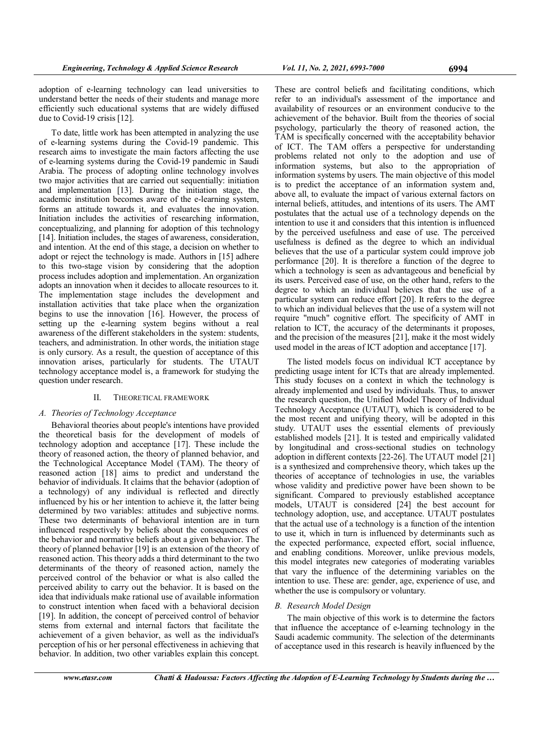adoption of e-learning technology can lead universities to understand better the needs of their students and manage more efficiently such educational systems that are widely diffused due to Covid-19 crisis [12].

To date, little work has been attempted in analyzing the use of e-learning systems during the Covid-19 pandemic. This research aims to investigate the main factors affecting the use of e-learning systems during the Covid-19 pandemic in Saudi Arabia. The process of adopting online technology involves two major activities that are carried out sequentially: initiation and implementation [13]. During the initiation stage, the academic institution becomes aware of the e-learning system, forms an attitude towards it, and evaluates the innovation. Initiation includes the activities of researching information, conceptualizing, and planning for adoption of this technology [14]. Initiation includes, the stages of awareness, consideration, and intention. At the end of this stage, a decision on whether to adopt or reject the technology is made. Authors in [15] adhere to this two-stage vision by considering that the adoption process includes adoption and implementation. An organization adopts an innovation when it decides to allocate resources to it. The implementation stage includes the development and installation activities that take place when the organization begins to use the innovation [16]. However, the process of setting up the e-learning system begins without a real awareness of the different stakeholders in the system: students, teachers, and administration. In other words, the initiation stage is only cursory. As a result, the question of acceptance of this innovation arises, particularly for students. The UTAUT technology acceptance model is, a framework for studying the question under research.

### II. THEORETICAL FRAMEWORK

# A. Theories of Technology Acceptance

Behavioral theories about people's intentions have provided the theoretical basis for the development of models of technology adoption and acceptance [17]. These include the theory of reasoned action, the theory of planned behavior, and the Technological Acceptance Model (TAM). The theory of reasoned action [18] aims to predict and understand the behavior of individuals. It claims that the behavior (adoption of a technology) of any individual is reflected and directly influenced by his or her intention to achieve it, the latter being determined by two variables: attitudes and subjective norms. These two determinants of behavioral intention are in turn influenced respectively by beliefs about the consequences of the behavior and normative beliefs about a given behavior. The theory of planned behavior [19] is an extension of the theory of reasoned action. This theory adds a third determinant to the two determinants of the theory of reasoned action, namely the perceived control of the behavior or what is also called the perceived ability to carry out the behavior. It is based on the idea that individuals make rational use of available information to construct intention when faced with a behavioral decision [19]. In addition, the concept of perceived control of behavior stems from external and internal factors that facilitate the achievement of a given behavior, as well as the individual's perception of his or her personal effectiveness in achieving that behavior. In addition, two other variables explain this concept.

These are control beliefs and facilitating conditions, which refer to an individual's assessment of the importance and availability of resources or an environment conducive to the achievement of the behavior. Built from the theories of social psychology, particularly the theory of reasoned action, the TAM is specifically concerned with the acceptability behavior of ICT. The TAM offers a perspective for understanding problems related not only to the adoption and use of information systems, but also to the appropriation of information systems by users. The main objective of this model is to predict the acceptance of an information system and, above all, to evaluate the impact of various external factors on internal beliefs, attitudes, and intentions of its users. The AMT postulates that the actual use of a technology depends on the intention to use it and considers that this intention is influenced by the perceived usefulness and ease of use. The perceived usefulness is defined as the degree to which an individual believes that the use of a particular system could improve job performance [20]. It is therefore a function of the degree to which a technology is seen as advantageous and beneficial by its users. Perceived ease of use, on the other hand, refers to the degree to which an individual believes that the use of a particular system can reduce effort [20]. It refers to the degree to which an individual believes that the use of a system will not require "much" cognitive effort. The specificity of AMT in relation to ICT, the accuracy of the determinants it proposes, and the precision of the measures [21], make it the most widely used model in the areas of ICT adoption and acceptance [17].

The listed models focus on individual ICT acceptance by predicting usage intent for ICTs that are already implemented. This study focuses on a context in which the technology is already implemented and used by individuals. Thus, to answer the research question, the Unified Model Theory of Individual Technology Acceptance (UTAUT), which is considered to be the most recent and unifying theory, will be adopted in this study. UTAUT uses the essential elements of previously established models [21]. It is tested and empirically validated by longitudinal and cross-sectional studies on technology adoption in different contexts [22-26]. The UTAUT model [21] is a synthesized and comprehensive theory, which takes up the theories of acceptance of technologies in use, the variables whose validity and predictive power have been shown to be significant. Compared to previously established acceptance models, UTAUT is considered [24] the best account for technology adoption, use, and acceptance. UTAUT postulates that the actual use of a technology is a function of the intention to use it, which in turn is influenced by determinants such as the expected performance, expected effort, social influence, and enabling conditions. Moreover, unlike previous models, this model integrates new categories of moderating variables that vary the influence of the determining variables on the intention to use. These are: gender, age, experience of use, and whether the use is compulsory or voluntary.

### B. Research Model Design

The main objective of this work is to determine the factors that influence the acceptance of e-learning technology in the Saudi academic community. The selection of the determinants of acceptance used in this research is heavily influenced by the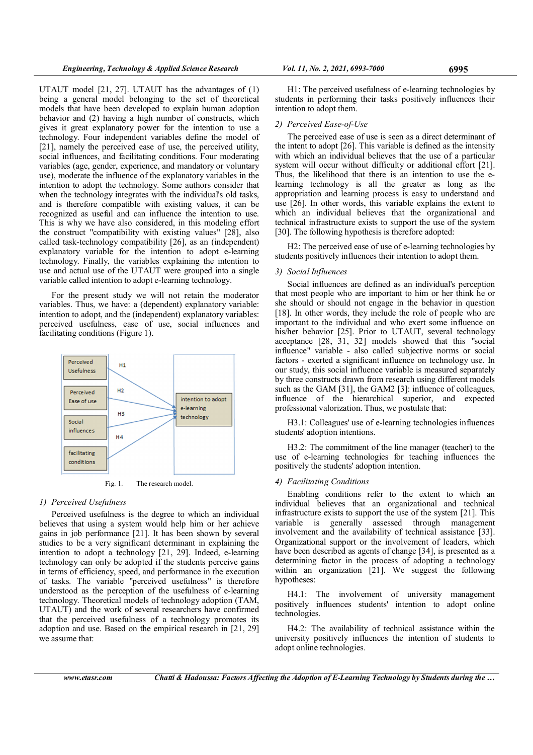UTAUT model [21, 27]. UTAUT has the advantages of (1) being a general model belonging to the set of theoretical models that have been developed to explain human adoption behavior and (2) having a high number of constructs, which gives it great explanatory power for the intention to use a technology. Four independent variables define the model of [21], namely the perceived ease of use, the perceived utility, social influences, and facilitating conditions. Four moderating variables (age, gender, experience, and mandatory or voluntary use), moderate the influence of the explanatory variables in the intention to adopt the technology. Some authors consider that when the technology integrates with the individual's old tasks, and is therefore compatible with existing values, it can be recognized as useful and can influence the intention to use. This is why we have also considered, in this modeling effort the construct "compatibility with existing values" [28], also called task-technology compatibility [26], as an (independent) explanatory variable for the intention to adopt e-learning technology. Finally, the variables explaining the intention to use and actual use of the UTAUT were grouped into a single variable called intention to adopt e-learning technology.

For the present study we will not retain the moderator variables. Thus, we have: a (dependent) explanatory variable: intention to adopt, and the (independent) explanatory variables: perceived usefulness, ease of use, social influences and facilitating conditions (Figure 1).



### 1) Perceived Usefulness

Perceived usefulness is the degree to which an individual believes that using a system would help him or her achieve gains in job performance [21]. It has been shown by several studies to be a very significant determinant in explaining the intention to adopt a technology [21, 29]. Indeed, e-learning technology can only be adopted if the students perceive gains in terms of efficiency, speed, and performance in the execution of tasks. The variable "perceived usefulness" is therefore understood as the perception of the usefulness of e-learning technology. Theoretical models of technology adoption (TAM, UTAUT) and the work of several researchers have confirmed that the perceived usefulness of a technology promotes its adoption and use. Based on the empirical research in [21, 29] we assume that:

H1: The perceived usefulness of e-learning technologies by students in performing their tasks positively influences their intention to adopt them.

### 2) Perceived Ease-of-Use

The perceived ease of use is seen as a direct determinant of the intent to adopt [26]. This variable is defined as the intensity with which an individual believes that the use of a particular system will occur without difficulty or additional effort [21]. Thus, the likelihood that there is an intention to use the elearning technology is all the greater as long as the appropriation and learning process is easy to understand and use [26]. In other words, this variable explains the extent to which an individual believes that the organizational and technical infrastructure exists to support the use of the system [30]. The following hypothesis is therefore adopted:

H2: The perceived ease of use of e-learning technologies by students positively influences their intention to adopt them.

# 3) Social Influences

Social influences are defined as an individual's perception that most people who are important to him or her think he or she should or should not engage in the behavior in question [18]. In other words, they include the role of people who are important to the individual and who exert some influence on his/her behavior [25]. Prior to UTAUT, several technology acceptance [28, 31, 32] models showed that this "social influence" variable - also called subjective norms or social factors - exerted a significant influence on technology use. In our study, this social influence variable is measured separately by three constructs drawn from research using different models such as the GAM [31], the GAM2 [3]: influence of colleagues, influence of the hierarchical superior, and expected professional valorization. Thus, we postulate that:

H3.1: Colleagues' use of e-learning technologies influences students' adoption intentions.

H3.2: The commitment of the line manager (teacher) to the use of e-learning technologies for teaching influences the positively the students' adoption intention.

### 4) Facilitating Conditions

Enabling conditions refer to the extent to which an individual believes that an organizational and technical infrastructure exists to support the use of the system [21]. This variable is generally assessed through management involvement and the availability of technical assistance [33]. Organizational support or the involvement of leaders, which have been described as agents of change [34], is presented as a determining factor in the process of adopting a technology within an organization [21]. We suggest the following hypotheses:

H4.1: The involvement of university management positively influences students' intention to adopt online technologies.

H4.2: The availability of technical assistance within the university positively influences the intention of students to adopt online technologies.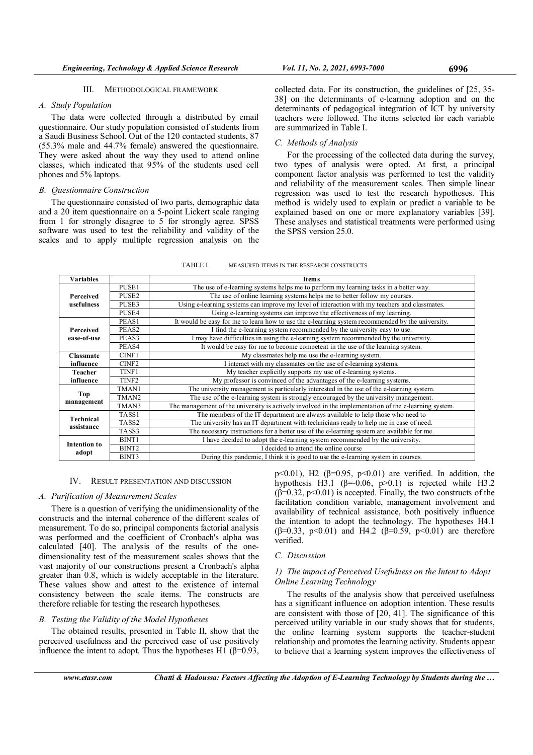### III. METHODOLOGICAL FRAMEWORK

# A. Study Population

The data were collected through a distributed by email questionnaire. Our study population consisted of students from a Saudi Business School. Out of the 120 contacted students, 87 (55.3% male and 44.7% female) answered the questionnaire. They were asked about the way they used to attend online classes, which indicated that 95% of the students used cell phones and 5% laptops.

### B. Questionnaire Construction

The questionnaire consisted of two parts, demographic data and a 20 item questionnaire on a 5-point Lickert scale ranging from 1 for strongly disagree to  $5$  for strongly agree. SPSS software was used to test the reliability and validity of the scales and to apply multiple regression analysis on the

# are summarized in Table I. C. Methods of Analysis

For the processing of the collected data during the survey, two types of analysis were opted. At first, a principal component factor analysis was performed to test the validity and reliability of the measurement scales. Then simple linear regression was used to test the research hypotheses. This method is widely used to explain or predict a variable to be explained based on one or more explanatory variables [39]. These analyses and statistical treatments were performed using the SPSS version 25.0.

| TABLE I.<br>MEASURED ITEMS IN THE RESEARCH CONSTRUCTS |  |
|-------------------------------------------------------|--|
|-------------------------------------------------------|--|

| <b>Variables</b>               |                                                           | <b>Items</b>                                                                                          |  |  |  |
|--------------------------------|-----------------------------------------------------------|-------------------------------------------------------------------------------------------------------|--|--|--|
| Perceived<br>usefulness        | PUSE1                                                     | The use of e-learning systems helps me to perform my learning tasks in a better way.                  |  |  |  |
|                                | PUSE <sub>2</sub>                                         | The use of online learning systems helps me to better follow my courses.                              |  |  |  |
|                                | PUSE3                                                     | Using e-learning systems can improve my level of interaction with my teachers and classmates.         |  |  |  |
|                                | PUSE4                                                     | Using e-learning systems can improve the effectiveness of my learning.                                |  |  |  |
| Perceived<br>ease-of-use       | PEAS1                                                     | It would be easy for me to learn how to use the e-learning system recommended by the university.      |  |  |  |
|                                | PEAS <sub>2</sub>                                         | I find the e-learning system recommended by the university easy to use.                               |  |  |  |
|                                | PEAS3                                                     | I may have difficulties in using the e-learning system recommended by the university.                 |  |  |  |
|                                | PEAS4                                                     | It would be easy for me to become competent in the use of the learning system.                        |  |  |  |
| <b>Classmate</b>               | My classmates help me use the e-learning system.<br>CINF1 |                                                                                                       |  |  |  |
| influence                      | CINF <sub>2</sub>                                         | I interact with my classmates on the use of e-learning systems.                                       |  |  |  |
| Teacher                        | TINF1                                                     | My teacher explicitly supports my use of e-learning systems.                                          |  |  |  |
| influence                      | TINF <sub>2</sub>                                         | My professor is convinced of the advantages of the e-learning systems.                                |  |  |  |
| Top<br>management              | TMAN1                                                     | The university management is particularly interested in the use of the e-learning system.             |  |  |  |
|                                | TMAN <sub>2</sub>                                         | The use of the e-learning system is strongly encouraged by the university management.                 |  |  |  |
|                                | TMAN3                                                     | The management of the university is actively involved in the implementation of the e-learning system. |  |  |  |
| <b>Technical</b><br>assistance | TASS <sub>1</sub>                                         | The members of the IT department are always available to help those who need to                       |  |  |  |
|                                | TASS <sub>2</sub>                                         | The university has an IT department with technicians ready to help me in case of need.                |  |  |  |
|                                | TASS3                                                     | The necessary instructions for a better use of the e-learning system are available for me.            |  |  |  |
| <b>Intention to</b><br>adopt   | BINT <sub>1</sub>                                         | I have decided to adopt the e-learning system recommended by the university.                          |  |  |  |
|                                | BINT <sub>2</sub>                                         | I decided to attend the online course                                                                 |  |  |  |
|                                | BINT3                                                     | During this pandemic, I think it is good to use the e-learning system in courses.                     |  |  |  |

# IV. RESULT PRESENTATION AND DISCUSSION

### A. Purification of Measurement Scales

There is a question of verifying the unidimensionality of the constructs and the internal coherence of the different scales of measurement. To do so, principal components factorial analysis was performed and the coefficient of Cronbach's alpha was calculated [40]. The analysis of the results of the onedimensionality test of the measurement scales shows that the vast majority of our constructions present a Cronbach's alpha greater than 0.8, which is widely acceptable in the literature. These values show and attest to the existence of internal consistency between the scale items. The constructs are therefore reliable for testing the research hypotheses.

## B. Testing the Validity of the Model Hypotheses

The obtained results, presented in Table II, show that the perceived usefulness and the perceived ease of use positively influence the intent to adopt. Thus the hypotheses H1 (β=0.93, p<0.01), H2 ( $\beta$ =0.95, p<0.01) are verified. In addition, the hypothesis H3.1 ( $\beta$ =-0.06, p>0.1) is rejected while H3.2  $(\beta=0.32, p<0.01)$  is accepted. Finally, the two constructs of the facilitation condition variable, management involvement and availability of technical assistance, both positively influence the intention to adopt the technology. The hypotheses H4.1 (β=0.33, p<0.01) and H4.2 (β=0.59, p<0.01) are therefore verified.

# C. Discussion

# 1) The impact of Perceived Usefulness on the Intent to Adopt Online Learning Technology

The results of the analysis show that perceived usefulness has a significant influence on adoption intention. These results are consistent with those of [20, 41]. The significance of this perceived utility variable in our study shows that for students, the online learning system supports the teacher-student relationship and promotes the learning activity. Students appear to believe that a learning system improves the effectiveness of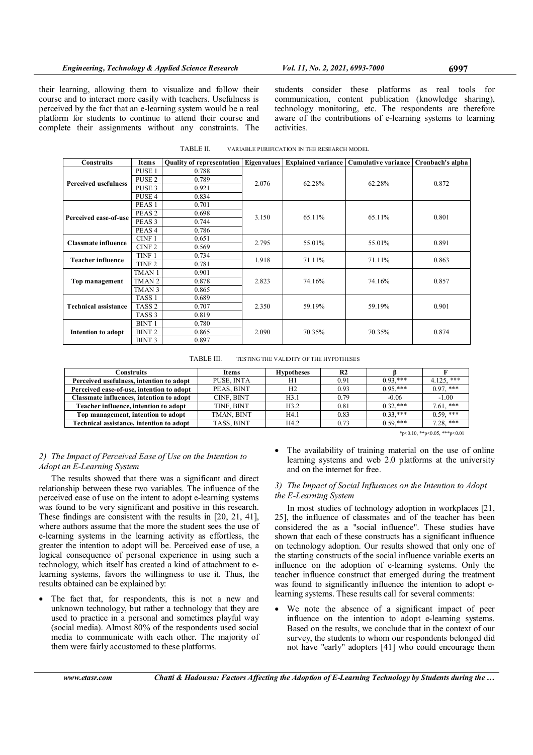their learning, allowing them to visualize and follow their course and to interact more easily with teachers. Usefulness is perceived by the fact that an e-learning system would be a real platform for students to continue to attend their course and complete their assignments without any constraints. The students consider these platforms as real tools for communication, content publication (knowledge sharing), technology monitoring, etc. The respondents are therefore aware of the contributions of e-learning systems to learning activities.

| <b>Construits</b>           | <b>Items</b>      | <b>Quality of representation</b> | Eigenvalues |        | <b>Explained variance   Cumulative variance</b> | Cronbach's alpha |  |
|-----------------------------|-------------------|----------------------------------|-------------|--------|-------------------------------------------------|------------------|--|
| <b>Perceived usefulness</b> | PUSE <sub>1</sub> | 0.788                            | 2.076       | 62.28% | 62.28%                                          |                  |  |
|                             | PUSE <sub>2</sub> | 0.789                            |             |        |                                                 | 0.872            |  |
|                             | PUSE <sub>3</sub> | 0.921                            |             |        |                                                 |                  |  |
|                             | PUSE 4            | 0.834                            |             |        |                                                 |                  |  |
| Perceived ease-of-use       | PEAS <sub>1</sub> | 0.701                            | 3.150       | 65.11% | 65.11%                                          | 0.801            |  |
|                             | PEAS <sub>2</sub> | 0.698                            |             |        |                                                 |                  |  |
|                             | PEAS <sub>3</sub> | 0.744                            |             |        |                                                 |                  |  |
|                             | PEAS <sub>4</sub> | 0.786                            |             |        |                                                 |                  |  |
| <b>Classmate influence</b>  | CINF <sub>1</sub> | 0.651                            |             | 55.01% | 55.01%                                          | 0.891            |  |
|                             | CINF <sub>2</sub> | 0.569                            | 2.795       |        |                                                 |                  |  |
| <b>Teacher influence</b>    | TINF <sub>1</sub> | 0.734                            | 1.918       | 71.11% | 71.11%                                          | 0.863            |  |
|                             | TINF <sub>2</sub> | 0.781                            |             |        |                                                 |                  |  |
|                             | TMAN <sub>1</sub> | 0.901                            | 2.823       | 74.16% | 74.16%                                          | 0.857            |  |
| Top management              | TMAN 2            | 0.878                            |             |        |                                                 |                  |  |
|                             | TMAN 3            | 0.865                            |             |        |                                                 |                  |  |
| <b>Technical assistance</b> | TASS <sub>1</sub> | 0.689                            | 2.350       | 59.19% | 59.19%                                          | 0.901            |  |
|                             | TASS <sub>2</sub> | 0.707                            |             |        |                                                 |                  |  |
|                             | TASS <sub>3</sub> | 0.819                            |             |        |                                                 |                  |  |
| Intention to adopt          | <b>BINT 1</b>     | 0.780                            | 2.090       | 70.35% | 70.35%                                          | 0.874            |  |
|                             | BINT <sub>2</sub> | 0.865                            |             |        |                                                 |                  |  |
|                             | BINT <sub>3</sub> | 0.897                            |             |        |                                                 |                  |  |

TABLE II. VARIABLE PURIFICATION IN THE RESEARCH MODEL

TABLE III. TESTING THE VALIDITY OF THE HYPOTHESES

| Construits                                      | <b>Items</b>      | <b>Hypotheses</b> | R <sub>2</sub> |             |               |
|-------------------------------------------------|-------------------|-------------------|----------------|-------------|---------------|
| Perceived usefulness, intention to adopt        | PUSE, INTA        | H1                | 0.91           | $0.93$ .*** | $4.125$ . *** |
| Perceived ease-of-use, intention to adopt       | PEAS, BINT        | H <sub>2</sub>    | 0.93           | $0.95$ .*** | $0.97.***$    |
| <b>Classmate influences, intention to adopt</b> | CINF. BINT        | H3.1              | 0.79           | $-0.06$     | $-1.00$       |
| Teacher influence, intention to adopt           | TINF, BINT        | H3.2              | 0.81           | $0.32$ .*** | $7.61$ , ***  |
| Top management, intention to adopt              | TMAN, BINT        | H4.1              | 0.83           | $0.33.***$  | $0.59$ , ***  |
| Technical assistance, intention to adopt        | <b>TASS, BINT</b> | H4.2              | 0.73           | $0.59$ .*** | $7.28$ , ***  |
|                                                 |                   |                   |                |             |               |

\*p<0.10, \*\*p<0.05, \*\*\*p<0.01

# 2) The Impact of Perceived Ease of Use on the Intention to Adopt an E-Learning System

The results showed that there was a significant and direct relationship between these two variables. The influence of the perceived ease of use on the intent to adopt e-learning systems was found to be very significant and positive in this research. These findings are consistent with the results in [20, 21, 41], where authors assume that the more the student sees the use of e-learning systems in the learning activity as effortless, the greater the intention to adopt will be. Perceived ease of use, a logical consequence of personal experience in using such a technology, which itself has created a kind of attachment to elearning systems, favors the willingness to use it. Thus, the results obtained can be explained by:

The fact that, for respondents, this is not a new and unknown technology, but rather a technology that they are used to practice in a personal and sometimes playful way (social media). Almost 80% of the respondents used social media to communicate with each other. The majority of them were fairly accustomed to these platforms.

The availability of training material on the use of online learning systems and web 2.0 platforms at the university and on the internet for free.

# 3) The Impact of Social Influences on the Intention to Adopt the E-Learning System

In most studies of technology adoption in workplaces [21, 25], the influence of classmates and of the teacher has been considered the as a "social influence". These studies have shown that each of these constructs has a significant influence on technology adoption. Our results showed that only one of the starting constructs of the social influence variable exerts an influence on the adoption of e-learning systems. Only the teacher influence construct that emerged during the treatment was found to significantly influence the intention to adopt elearning systems. These results call for several comments:

We note the absence of a significant impact of peer influence on the intention to adopt e-learning systems. Based on the results, we conclude that in the context of our survey, the students to whom our respondents belonged did not have "early" adopters [41] who could encourage them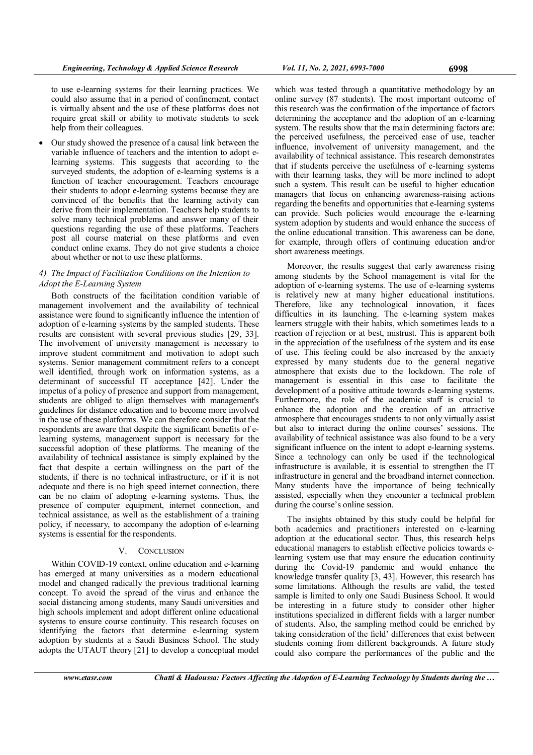to use e-learning systems for their learning practices. We could also assume that in a period of confinement, contact is virtually absent and the use of these platforms does not require great skill or ability to motivate students to seek help from their colleagues.

• Our study showed the presence of a causal link between the variable influence of teachers and the intention to adopt elearning systems. This suggests that according to the surveyed students, the adoption of e-learning systems is a function of teacher encouragement. Teachers encourage their students to adopt e-learning systems because they are convinced of the benefits that the learning activity can derive from their implementation. Teachers help students to solve many technical problems and answer many of their questions regarding the use of these platforms. Teachers post all course material on these platforms and even conduct online exams. They do not give students a choice about whether or not to use these platforms.

# 4) The Impact of Facilitation Conditions on the Intention to Adopt the E-Learning System

Both constructs of the facilitation condition variable of management involvement and the availability of technical assistance were found to significantly influence the intention of adoption of e-learning systems by the sampled students. These results are consistent with several previous studies [29, 33]. The involvement of university management is necessary to improve student commitment and motivation to adopt such systems. Senior management commitment refers to a concept well identified, through work on information systems, as a determinant of successful IT acceptance [42]. Under the impetus of a policy of presence and support from management, students are obliged to align themselves with management's guidelines for distance education and to become more involved in the use of these platforms. We can therefore consider that the respondents are aware that despite the significant benefits of elearning systems, management support is necessary for the successful adoption of these platforms. The meaning of the availability of technical assistance is simply explained by the fact that despite a certain willingness on the part of the students, if there is no technical infrastructure, or if it is not adequate and there is no high speed internet connection, there can be no claim of adopting e-learning systems. Thus, the presence of computer equipment, internet connection, and technical assistance, as well as the establishment of a training policy, if necessary, to accompany the adoption of e-learning systems is essential for the respondents.

# V. CONCLUSION

Within COVID-19 context, online education and e-learning has emerged at many universities as a modern educational model and changed radically the previous traditional learning concept. To avoid the spread of the virus and enhance the social distancing among students, many Saudi universities and high schools implement and adopt different online educational systems to ensure course continuity. This research focuses on identifying the factors that determine e-learning system adoption by students at a Saudi Business School. The study adopts the UTAUT theory [21] to develop a conceptual model

which was tested through a quantitative methodology by an online survey (87 students). The most important outcome of this research was the confirmation of the importance of factors determining the acceptance and the adoption of an e-learning system. The results show that the main determining factors are: the perceived usefulness, the perceived ease of use, teacher influence, involvement of university management, and the availability of technical assistance. This research demonstrates that if students perceive the usefulness of e-learning systems with their learning tasks, they will be more inclined to adopt such a system. This result can be useful to higher education managers that focus on enhancing awareness-raising actions regarding the benefits and opportunities that e-learning systems can provide. Such policies would encourage the e-learning system adoption by students and would enhance the success of the online educational transition. This awareness can be done, for example, through offers of continuing education and/or short awareness meetings.

Moreover, the results suggest that early awareness rising among students by the School management is vital for the adoption of e-learning systems. The use of e-learning systems is relatively new at many higher educational institutions. Therefore, like any technological innovation, it faces difficulties in its launching. The e-learning system makes learners struggle with their habits, which sometimes leads to a reaction of rejection or at best, mistrust. This is apparent both in the appreciation of the usefulness of the system and its ease of use. This feeling could be also increased by the anxiety expressed by many students due to the general negative atmosphere that exists due to the lockdown. The role of management is essential in this case to facilitate the development of a positive attitude towards e-learning systems. Furthermore, the role of the academic staff is crucial to enhance the adoption and the creation of an attractive atmosphere that encourages students to not only virtually assist but also to interact during the online courses' sessions. The availability of technical assistance was also found to be a very significant influence on the intent to adopt e-learning systems. Since a technology can only be used if the technological infrastructure is available, it is essential to strengthen the IT infrastructure in general and the broadband internet connection. Many students have the importance of being technically assisted, especially when they encounter a technical problem during the course's online session.

The insights obtained by this study could be helpful for both academics and practitioners interested on e-learning adoption at the educational sector. Thus, this research helps educational managers to establish effective policies towards elearning system use that may ensure the education continuity during the Covid-19 pandemic and would enhance the knowledge transfer quality [3, 43]. However, this research has some limitations. Although the results are valid, the tested sample is limited to only one Saudi Business School. It would be interesting in a future study to consider other higher institutions specialized in different fields with a larger number of students. Also, the sampling method could be enriched by taking consideration of the field' differences that exist between students coming from different backgrounds. A future study could also compare the performances of the public and the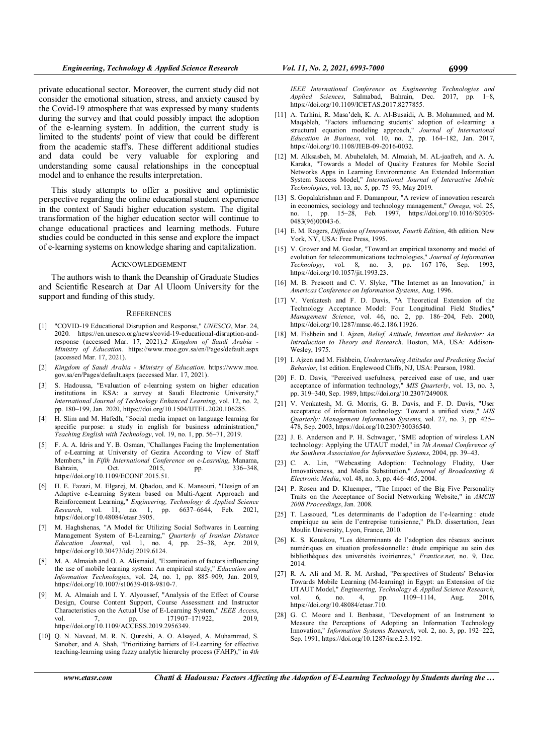private educational sector. Moreover, the current study did not consider the emotional situation, stress, and anxiety caused by the Covid-19 atmosphere that was expressed by many students during the survey and that could possibly impact the adoption of the e-learning system. In addition, the current study is limited to the students' point of view that could be different from the academic staff's. These different additional studies and data could be very valuable for exploring and understanding some causal relationships in the conceptual model and to enhance the results interpretation.

This study attempts to offer a positive and optimistic perspective regarding the online educational student experience in the context of Saudi higher education system. The digital transformation of the higher education sector will continue to change educational practices and learning methods. Future studies could be conducted in this sense and explore the impact of e-learning systems on knowledge sharing and capitalization.

### ACKNOWLEDGEMENT

The authors wish to thank the Deanship of Graduate Studies and Scientific Research at Dar Al Uloom University for the support and funding of this study.

#### **REFERENCES**

- [1] "COVID-19 Educational Disruption and Response," UNESCO, Mar. 24, 2020. https://en.unesco.org/news/covid-19-educational-disruption-andresponse (accessed Mar. 17, 2021).2 Kingdom of Saudi Arabia - Ministry of Education. https://www.moe.gov.sa/en/Pages/default.aspx (accessed Mar. 17, 2021).
- [2] Kingdom of Saudi Arabia Ministry of Education. https://www.moe. gov.sa/en/Pages/default.aspx (accessed Mar. 17, 2021).
- [3] S. Hadoussa, "Evaluation of e-learning system on higher education institutions in KSA: a survey at Saudi Electronic University," International Journal of Technology Enhanced Learning, vol. 12, no. 2, pp. 180–199, Jan. 2020, https://doi.org/10.1504/IJTEL.2020.106285.
- [4] H. Slim and M. Hafedh. "Social media impact on language learning for specific purpose: a study in english for business administration," Teaching English with Technology, vol. 19, no. 1, pp. 56–71, 2019.
- [5] F. A. A. Idris and Y. B. Osman, "Challanges Facing the Implementation of e-Learning at University of Gezira According to View of Staff Members," in Fifth International Conference on e-Learning, Manama, Bahrain, Oct. 2015, pp. 336-348, pp. 336–348, https://doi.org/10.1109/ECONF.2015.51.
- [6] H. E. Fazazi, M. Elgarej, M. Qbadou, and K. Mansouri, "Design of an Adaptive e-Learning System based on Multi-Agent Approach and Reinforcement Learning," Engineering, Technology & Applied Science Research, vol. 11, no. 1, pp. 6637–6644, Feb. 2021, https://doi.org/10.48084/etasr.3905.
- [7] M. Haghshenas, "A Model for Utilizing Social Softwares in Learning Management System of E-Learning," Quarterly of Iranian Distance Education Journal, vol. 1, no. 4, pp. 25–38, Apr. 2019, https://doi.org/10.30473/idej.2019.6124.
- M. A. Almaiah and O. A. Alismaiel, "Examination of factors influencing the use of mobile learning system: An empirical study," Education and Information Technologies, vol. 24, no. 1, pp. 885–909, Jan. 2019, https://doi.org/10.1007/s10639-018-9810-7.
- [9] M. A. Almaiah and I. Y. Alyoussef, "Analysis of the Effect of Course Design, Course Content Support, Course Assessment and Instructor Characteristics on the Actual Use of E-Learning System," IEEE Access, vol. 7, pp. 171907–171922, 2019, https://doi.org/10.1109/ACCESS.2019.2956349.
- [10] Q. N. Naveed, M. R. N. Qureshi, A. O. Alsayed, A. Muhammad, S. Sanober, and A. Shah, "Prioritizing barriers of E-Learning for effective teaching-learning using fuzzy analytic hierarchy process (FAHP)," in 4th

IEEE International Conference on Engineering Technologies and<br>Annlied Sciences Salmabad. Bahrain. Dec. 2017, pp. 1–8, Applied Sciences, Salmabad, Bahrain, Dec. 2017, pp. https://doi.org/10.1109/ICETAS.2017.8277855.

- [11] A. Tarhini, R. Masa'deh, K. A. Al-Busaidi, A. B. Mohammed, and M. Maqableh, "Factors influencing students' adoption of e-learning: a structural equation modeling approach," Journal of International Education in Business, vol.  $10$ , no. 2, pp. 164–182, Jan. 2017, https://doi.org/10.1108/JIEB-09-2016-0032.
- [12] M. Alksasbeh, M. Abuhelaleh, M. Almaiah, M. AL-jaafreh, and A. A. Karaka, "Towards a Model of Quality Features for Mobile Social Networks Apps in Learning Environments: An Extended Information System Success Model," International Journal of Interactive Mobile Technologies, vol. 13, no. 5, pp. 75–93, May 2019.
- [13] S. Gopalakrishnan and F. Damanpour, "A review of innovation research in economics, sociology and technology management," Omega, vol. 25, no. 1, pp. 15–28, Feb. 1997, https://doi.org/10.1016/S0305- 0483(96)00043-6.
- [14] E. M. Rogers, Diffusion of Innovations, Fourth Edition, 4th edition. New York, NY, USA: Free Press, 1995.
- [15] V. Grover and M. Goslar, "Toward an empirical taxonomy and model of evolution for telecommunications technologies," Journal of Information Technology, vol. 8, no. 3, pp. 167–176, Sep. 1993, https://doi.org/10.1057/jit.1993.23.
- [16] M. B. Prescott and C. V. Slyke, "The Internet as an Innovation," in Americas Conference on Information Systems, Aug. 1996.
- [17] V. Venkatesh and F. D. Davis, "A Theoretical Extension of the Technology Acceptance Model: Four Longitudinal Field Studies," Management Science, vol. 46, no. 2, pp. 186–204, Feb. 2000, https://doi.org/10.1287/mnsc.46.2.186.11926.
- [18] M. Fishbein and I. Ajzen, Belief, Attitude, Intention and Behavior: An Introduction to Theory and Research. Boston, MA, USA: Addison-Wesley, 1975.
- [19] I. Ajzen and M. Fishbein, Understanding Attitudes and Predicting Social Behavior, 1st edition. Englewood Cliffs, NJ, USA: Pearson, 1980.
- [20] F. D. Davis, "Perceived usefulness, perceived ease of use, and user acceptance of information technology," MIS Quarterly, vol. 13, no. 3, pp. 319–340, Sep. 1989, https://doi.org/10.2307/249008.
- [21] V. Venkatesh, M. G. Morris, G. B. Davis, and F. D. Davis, "User acceptance of information technology: Toward a unified view," MIS Quarterly: Management Information Systems, vol. 27, no. 3, pp. 425– 478, Sep. 2003, https://doi.org/10.2307/30036540.
- [22] J. E. Anderson and P. H. Schwager, "SME adoption of wireless LAN technology: Applying the UTAUT model," in 7th Annual Conference of the Southern Association for Information Systems, 2004, pp. 39–43.
- [23] C. A. Lin, "Webcasting Adoption: Technology Fludity, User Innovativeness, and Media Substitution," Journal of Broadcasting & Electronic Media, vol. 48, no. 3, pp. 446–465, 2004.
- [24] P. Rosen and D. Kluemper, "The Impact of the Big Five Personality Traits on the Acceptance of Social Networking Website," in AMCIS 2008 Proceedings, Jan. 2008.
- [25] T. Lassoued, "Les determinants de l'adoption de l'e-learning : etude empirique au sein de l'entreprise tunisienne," Ph.D. dissertation, Jean Moulin University, Lyon, France, 2010.
- [26] K. S. Kouakou, "Les déterminants de l'adoption des réseaux sociaux numériques en situation professionnelle : étude empirique au sein des bibliothèques des universités ivoiriennes," Frantice.net, no. 9, Dec. 2014.
- [27] R. A. Ali and M. R. M. Arshad, "Perspectives of Students' Behavior Towards Mobile Learning (M-learning) in Egypt: an Extension of the UTAUT Model," Engineering, Technology & Applied Science Research,<br>vol 6 no 4 pp. 1109–1114, Aug. 2016, vol. 6, no. 4, pp. 1109-1114, Aug. 2016, https://doi.org/10.48084/etasr.710.
- [28] G. C. Moore and I. Benbasat, "Development of an Instrument to Measure the Perceptions of Adopting an Information Technology Innovation," Information Systems Research, vol. 2, no. 3, pp. 192–222, Sep. 1991, https://doi.org/10.1287/isre.2.3.192.